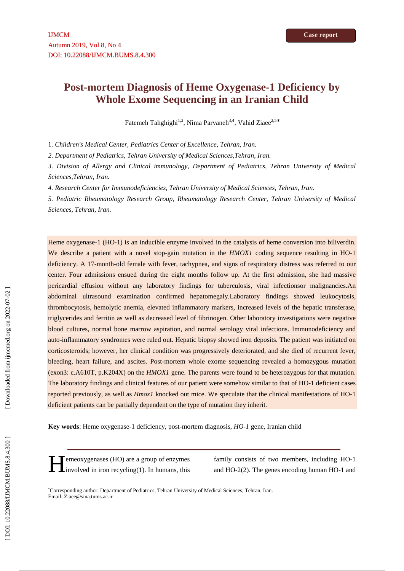# **Post-mortem Diagnosis of Heme Oxygenase-1 Deficiency by Whole Exome Sequencing in an Iranian Child**

Fatemeh Tahghighi<sup>1,2</sup>, Nima Parvaneh<sup>3,4</sup>, Vahid Ziaee<sup>2,5</sup>

1*. Children's Medical Center, Pediatrics Center of Excellence, Tehran, Iran.*

*2. Department of Pediatrics, Tehran University of Medical Sciences,Tehran, Iran.*

*3. Division of Allergy and Clinical immunology, Department of Pediatrics, Tehran University of Medical Sciences,Tehran, Iran.*

*4. Research Center for Immunodeficiencies, Tehran University of Medical Sciences, Tehran, Iran.*

*5. Pediatric Rheumatology Research Group, Rheumatology Research Center, Tehran University ofMedical Sciences, Tehran, Iran.*

Heme oxygenase-1 (HO-1) is an inducible enzyme involved in the catalysis of heme conversion into biliverdin. We describe a patient with a novel stop-gain mutation in the *HMOX1* coding sequence resulting in HO-1 deficiency. A 17-month-old female with fever, tachypnea, and signs of respiratory distress was referred to our center. Four admissions ensued during the eight months follow up. At the first admission, she had massive pericardial effusion without any laboratory findings for tuberculosis, viral infectionsor malignancies.An abdominal ultrasound examination confirmed hepatomegaly.Laboratory findings showed leukocytosis, thrombocytosis, hemolytic anemia, elevated inflammatory markers, increased levels of the hepatic transferase, triglycerides and ferritin as well as decreased level of fibrinogen. Other laboratory investigations were negative blood cultures, normal bone marrow aspiration, and normal serology viral infections. Immunodeficiency and auto-inflammatory syndromes were ruled out. Hepatic biopsy showed iron deposits. The patient was initiated on corticosteroids; however, her clinical condition was progressively deteriorated, and she died of recurrent fever, bleeding, heart failure, and ascites. Post-mortem whole exome sequencing revealed a homozygous mutation (exon3: c.A610T, p.K204X) on the *HMOX1* gene. The parents were found to be heterozygous for that mutation. The laboratory findings and clinical features of our patient were somehow similar to that of HO-1 deficient cases reported previously, as well as *Hmox1* knocked out mice. We speculate that the clinical manifestations of HO-1 deficient patients can be partially dependent on the type of mutation they inherit.

**Key words**: Heme oxygenase-1 deficiency, post-mortem diagnosis, *HO-1* gene, Iranian child

emeoxygenases (HO) are a group of enzymes  $\blacksquare$ involved in iron recycling(1). In humans, this

family consists of two members, including HO-1 and HO-2(2). The genes encoding human HO-1 and

Corresponding author: Department of Pediatrics, Tehran University of Medical Sciences, Tehran, Iran. Email: Ziaee@sina.tums.ac.ir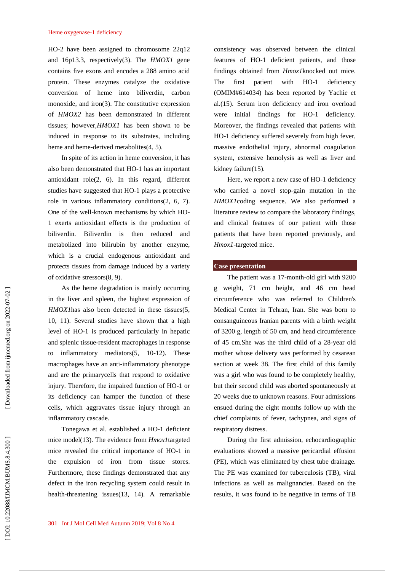HO-2 have been assigned to chromosome 22q12 and 16p13.3, respectively(3). The *HMOX1* gene contains five exons and encodes a 288 amino acid protein. These enzymes catalyze the oxidative conversion of heme into biliverdin, carbon monoxide, and iron(3). The constitutive expression of *HMOX2* has been demonstrated in different tissues; however,*HMOX1* has been shown to be induced in response to its substrates, including heme and heme-derived metabolites(4, 5).

In spite of its action in heme conversion, it has also been demonstrated that HO-1 has an important antioxidant role(2, 6). In this regard, different studies have suggested that HO-1 plays a protective role in various inflammatory conditions(2, 6, 7). One of the well-known mechanisms by which HO- 1 exerts antioxidant effects is the production of biliverdin. Biliverdin is then reduced and metabolized into bilirubin by another enzyme, which is a crucial endogenous antioxidant and protects tissues from damage induced by a variety of oxidative stressors(8, 9).

As the heme degradation is mainly occurring in the liver and spleen, the highest expression of *HMOX1*has also been detected in these tissues(5, 10, 11). Several studies have shown that a high level of HO-1 is produced particularly in hepatic and splenic tissue-resident macrophages in response to inflammatory mediators(5, 10-12). These macrophages have an anti-inflammatory phenotype and are the primarycells that respond to oxidative injury. Therefore, the impaired function of HO-1 or its deficiency can hamper the function of these cells, which aggravates tissue injury through an inflammatory cascade.

Tonegawa et al. established a HO-1 deficient mice model(13). The evidence from *Hmox1*targeted mice revealed the critical importance of HO-1 in the expulsion of iron from tissue stores. Furthermore, these findings demonstrated that any defect in the iron recycling system could result in health-threatening issues(13, 14). A remarkable

consistency was observed between the clinical features of HO-1 deficient patients, and those findings obtained from *Hmox1*knocked out mice. The first patient with HO-1 deficiency (OMIM#614034) has been reported by Yachie et al.(15). Serum iron deficiency and iron overload were initial findings for HO-1 deficiency. Moreover, the findings revealed that patients with HO-1 deficiency suffered severely from high fever, massive endothelial injury, abnormal coagulation system, extensive hemolysis as well as liver and kidney failure(15).

Here, we report a new case of HO-1 deficiency who carried a novel stop-gain mutation in the *HMOX1*coding sequence. We also performed a literature review to compare the laboratory findings, and clinical features of our patient with those patients that have been reported previously, and *Hmox1*-targeted mice.

### **Case presentation**

The patient was a 17-month-old girl with 9200 g weight, 71 cm height, and 46 cm head circumference who was referred to Children's Medical Center in Tehran, Iran. She was born to consanguineous Iranian parents with a birth weight of 3200 g, length of 50 cm, and head circumference of 45 cm.She was the third child of a 28-year old mother whose delivery was performed by cesarean section at week 38. The first child of this family was a girl who was found to be completely healthy, but their second child was aborted spontaneously at 20 weeks due to unknown reasons. Four admissions ensued during the eight months follow up with the chief complaints of fever, tachypnea, and signs of respiratory distress.

During the first admission, echocardiographic evaluations showed a massive pericardial effusion (PE), which was eliminated by chest tube drainage. The PE was examined for tuberculosis (TB), viral infections as well as malignancies. Based on the results, it was found to be negative in terms of TB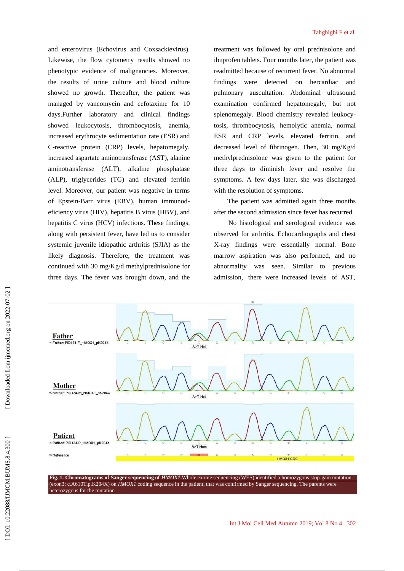and enterovirus (Echovirus and Coxsackievirus). Likewise, the flow cytometry results showed no phenotypic evidence of malignancies. Moreover, the results of urine culture and blood culture showed no growth. Thereafter, the patient was managed by vancomycin and cefotaxime for 10 days.Further laboratory and clinical findings showed leukocytosis, thrombocytosis, anemia, increased erythrocyte sedimentation rate (ESR) and C-reactive protein (CRP) levels, hepatomegaly, increased aspartate aminotransferase (AST), alanine aminotransferase (ALT), alkaline phosphatase (ALP), triglycerides (TG) and elevated ferritin level. Moreover, our patient was negative in terms of Epstein-Barr virus (EBV), human immunod eficiency virus (HIV), hepatitis B virus (HBV), and hepatitis C virus (HCV) infections. These findings, along with persistent fever, have led us to consider systemic juvenile idiopathic arthritis (SJIA) as the likely diagnosis. Therefore, the treatment was continued with 30 mg/Kg/d methylprednisolone for three days. The fever was brought down, and the

treatment was followed by oral prednisolone and ibuprofen tablets. Four months later, the patient was readmitted because of recurrent fever. No abnormal findings were detected on hercardiac and pulmonary auscultation. Abdominal ultrasound examination confirmed hepatomegaly, but not splenomegaly. Blood chemistry revealed leukocytosis, thrombocytosis, hemolytic anemia, normal ESR and CRP levels, elevated ferritin, and decreased level of fibrinogen. Then, 30 mg/Kg/d methylprednisolone was given to the patient for three days to diminish fever and resolve the symptoms. A few days later, she was discharged with the resolution of symptoms.

The patient was admitted again three months after the second admission since fever has recurred.

No histological and serological evidence was observed for arthritis. Echocardiographs and chest X-ray findings were essentially normal. Bone marrow aspiration was also performed, and no abnormality was seen. Similar to previous admission, there were increased levels of AST,



(exon3: c.A610T,p.K204X) on *HMOX1* coding sequence in the patient, that was confirmed by Sanger sequencing. The parents were heterozygous for the mutation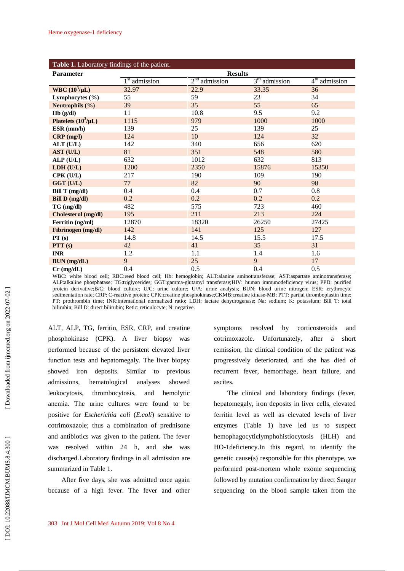| Table 1. Laboratory findings of the patient. |                           |                              |                 |                 |  |  |  |
|----------------------------------------------|---------------------------|------------------------------|-----------------|-----------------|--|--|--|
| <b>Parameter</b>                             |                           | <b>Results</b>               |                 |                 |  |  |  |
|                                              | 1 <sup>st</sup> admission | 2 <sup>nd</sup><br>admission | $3rd$ admission | $4th$ admission |  |  |  |
| WBC $(10^3/\mu L)$                           | 32.97                     | 22.9                         | 33.35           | 36              |  |  |  |
| Lymphocytes $(\% )$                          | 55                        | 59                           | 23              | 34              |  |  |  |
| Neutrophils (%)                              | 39                        | 35                           | 55              | 65              |  |  |  |
| Hb(g/dl)                                     | 11                        | 10.8                         | 9.5             | 9.2             |  |  |  |
| Platelets $(10^3/\mu L)$                     | 1115                      | 979                          | 1000            | 1000            |  |  |  |
| ESR (mm/h)                                   | 139                       | 25                           | 139             | 25              |  |  |  |
| $CRP$ (mg/l)                                 | 124                       | 10                           | 124             | 32              |  |  |  |
| $ALT$ (U/L)                                  | 142                       | 340                          | 656             | 620             |  |  |  |
| AST (U/L)                                    | 81                        | 351                          | 548             | 580             |  |  |  |
| ALP (U/L)                                    | 632                       | 1012                         | 632             | 813             |  |  |  |
| LDH (U/L)                                    | 1200                      | 2350                         | 15876           | 15350           |  |  |  |
| CPK (U/L)                                    | 217                       | 190                          | 109             | 190             |  |  |  |
| GGT (U/L)                                    | 77                        | 82                           | 90              | 98              |  |  |  |
| Bill T (mg/dl)                               | 0.4                       | 0.4                          | 0.7             | 0.8             |  |  |  |
| Bill D (mg/dl)                               | 0.2                       | 0.2                          | 0.2             | 0.2             |  |  |  |
| TG (mg/dl)                                   | 482                       | 575                          | 723             | 460             |  |  |  |
| Cholesterol (mg/dl)                          | 195                       | 211                          | 213             | 224             |  |  |  |
| Ferritin (ng/ml)                             | 12870                     | 18320                        | 26250           | 27425           |  |  |  |
| Fibrinogen (mg/dl)                           | 142                       | 141                          | 125             | 127             |  |  |  |
| PT(s)                                        | 14.8                      | 14.5                         | 15.5            | 17.5            |  |  |  |
| PTT(s)                                       | 42                        | 41                           | 35              | 31              |  |  |  |
| <b>INR</b>                                   | 1.2                       | 1.1                          | 1.4             | 1.6             |  |  |  |
| BUN (mg/dL)                                  | 9                         | 25                           | 9               | 17              |  |  |  |
| $Cr$ (mg/dL)                                 | 0.4                       | 0.5                          | 0.4             | 0.5             |  |  |  |

WBC: white blood cell; RBC:reed blood cell; Hb: hemoglobin; ALT:alanine aminotransferase; AST:aspartate aminotransferase; ALP:alkaline phosphatase; TG:triglycerides; GGT:gamma-glutamyl transferase;HIV: human immunodeficiency virus; PPD: purified protein derivative;B/C: blood culture; U/C: urine culture; U/A: urine analysis; BUN: blood urine nitrogen; ESR: erythrocyte sedimentation rate; CRP: C-reactive protein; CPK:creatine phosphokinase;CKMB:creatine kinase-MB; PTT: partial thromboplastin time; PT: prothrombin time; INR:international normalized ratio; LDH: lactate dehydrogenase; Na: sodium; K: potassium; Bill T: total bilirubin; Bill D: direct bilirubin; Retic: reticulocyte; N: negative.

ALT, ALP, TG, ferritin, ESR, CRP, and creatine phosphokinase (CPK). A liver biopsy was performed because of the persistent elevated liver function tests and hepatomegaly. The liver biopsy showed iron deposits. Similar to previous admissions, hematological analyses showed leukocytosis, thrombocytosis, and hemolytic anemia. The urine cultures were found to be positive for *Escherichia coli* (*E.coli*) sensitive to cotrimoxazole; thus a combination of prednisone and antibiotics was given to the patient. The fever was resolved within 24 h, and she was discharged.Laboratory findings in all admission are summarized in Table 1.

After five days, she was admitted once again because of a high fever. The fever and other

symptoms resolved by corticosteroids and cotrimoxazole. Unfortunately, after a short remission, the clinical condition of the patient was progressively deteriorated, and she has died of recurrent fever, hemorrhage, heart failure, and ascites.

The clinical and laboratory findings (fever, hepatomegaly, iron deposits in liver cells, elevated ferritin level as well as elevated levels of liver enzymes (Table 1) have led us to suspect hemophagocyticlymphohistiocytosis (HLH) and HO-1deficiency.In this regard, to identify the genetic cause(s) responsible for this phenotype, we performed post-mortem whole exome sequencing followed by mutation confirmation by direct Sanger sequencing on the blood sample taken from the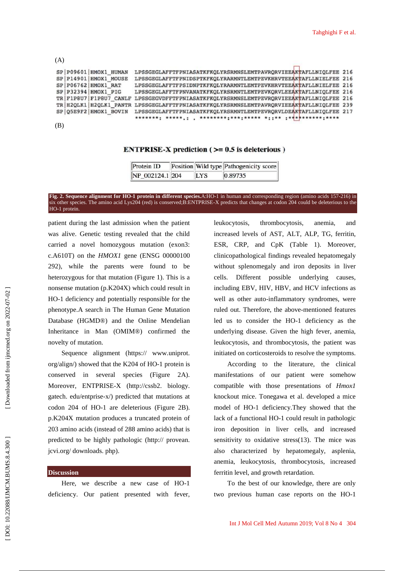| (A) |                         |                                                                                             |  |
|-----|-------------------------|---------------------------------------------------------------------------------------------|--|
|     |                         | LPSSGEGLAFFTFPNIASATKFKQLYRSRMNSLEMTPAVRQRVIEEAKTAFLLNIOLFEE 216                            |  |
|     | SP P09601 HMOX1 HUMAN   |                                                                                             |  |
|     | SP P14901 HMOX1 MOUSE   | LPSSGEGLAFFTFPNIDSPTKFKOLYRARMNTLEMTPEVKHRVTEEAKTAFLLNIELFEE 216                            |  |
|     | SP   P06762   HMOX1 RAT | LPSSGEGLAFFTFPSIDNPTKFKOLYRARMNTLEMTPEVKHRVTEEAKTAFLLNIELFEE 216                            |  |
|     | SP   P32394   HMOX1 PIG | LPSSGEGLAFFTFPNVANATKFKOLYRSRMNTLEMTPEVKORVLEEAKTAFLLNIOLFEE 216                            |  |
|     |                         | TR F1P8U7 F1P8U7 CANLF LPSSGEGVDFFTFPNIASATKFKOLYRSRMNSLEMTPEVRORVIEEAKTAFLLNIOLFEE 216     |  |
|     |                         | TR   H2OLK1   H2OLK1 PANTR LPSSGEGLAFFTFPNIASATKFKOLYRSRMNSLEMTPAVRORVIEEAKTAFLLNIOLFEE 239 |  |
|     |                         | SP 05E9F2 HMOX1 BOVIN LPSSGEGLAFFTFPNIASATKFKOLYRSRMNTLEMTPEVRORVLDEAKTAFLLNIOLFEE 217      |  |
|     |                         |                                                                                             |  |

(B)

## ENTPRISE-X prediction ( $>= 0.5$  is deleterious)

| Protein ID      |            | Position Wild type Pathogenicity score |  |
|-----------------|------------|----------------------------------------|--|
| NP_002124.1 204 | <b>LYS</b> | 0.89735                                |  |

#### **Fig. 2. Sequence alignment for HO-1 protein in different species.**A:HO-1 in human and corresponding region (amino acids 157-216) in six other species. The amino acid Lys204 (red) is conserved;B:ENTPRISE-X predicts that changes at codon 204 could be deleterious to the HO-1 protein.

patient during the last admission when the patient was alive. Genetic testing revealed that the child carried a novel homozygous mutation (exon3: c.A610T) on the *HMOX1* gene (ENSG 00000100 292), while the parents were found to be heterozygous for that mutation (Figure 1). This is a nonsense mutation (p.K204X) which could result in HO-1 deficiency and potentially responsible for the phenotype.A search in The Human Gene Mutation Database (HGMD®) and the Online Mendelian Inheritance in Man (OMIM®) confirmed the novelty of mutation.

Sequence alignment (https:// www.uniprot. org/align/) showed that the K204 of HO-1 protein is conserved in several species (Figure 2A). Moreover, ENTPRISE-X (http://cssb2. biology. gatech. edu/entprise-x/) predicted that mutations at codon 204 of HO-1 are deleterious (Figure 2B). p.K204X mutation produces a truncated protein of 203 amino acids (instead of 288 amino acids) that is predicted to be highly pathologic (http:// provean. jcvi.org/ downloads. php).

## **Discussion**

Here, we describe a new case of HO-1 deficiency. Our patient presented with fever, leukocytosis, thrombocytosis, anemia, and increased levels of AST, ALT, ALP, TG, ferritin, ESR, CRP, and CpK (Table 1). Moreover, clinicopathological findings revealed hepatomegaly without splenomegaly and iron deposits in liver cells. Different possible underlying causes, including EBV, HIV, HBV, and HCV infections as well as other auto-inflammatory syndromes, were ruled out. Therefore, the above-mentioned features led us to consider the HO-1 deficiency as the underlying disease. Given the high fever, anemia, leukocytosis, and thrombocytosis, the patient was initiated on corticosteroids to resolve the symptoms.

According to the literature, the clinical manifestations of our patient were somehow compatible with those presentations of *Hmox1* knockout mice. Tonegawa et al. developed a mice model of HO-1 deficiency.They showed that the lack of a functional HO-1 could result in pathologic iron deposition in liver cells, and increased sensitivity to oxidative stress(13). The mice was also characterized by hepatomegaly, asplenia, anemia, leukocytosis, thrombocytosis, increased ferritin level, and growth retardation.

To the best of our knowledge, there are only two previous human case reports on the HO-1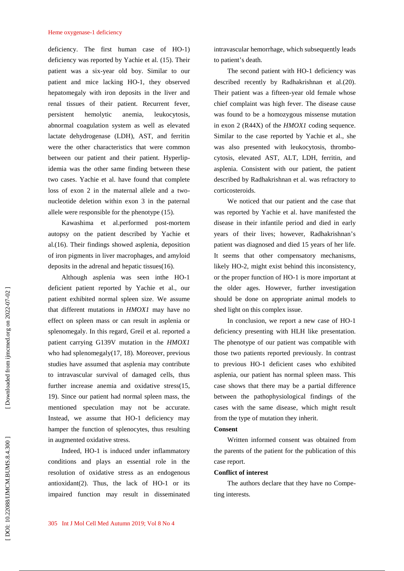#### Heme oxygenase-1 deficiency

deficiency. The first human case of HO-1) deficiency was reported by Yachie et al. (15). Their patient was a six-year old boy. Similar to our patient and mice lacking HO-1, they observed hepatomegaly with iron deposits in the liver and renal tissues of their patient. Recurrent fever, persistent hemolytic anemia, leukocytosis, abnormal coagulation system as well as elevated lactate dehydrogenase (LDH), AST, and ferritin were the other characteristics that were common between our patient and their patient. Hyperlipidemia was the other same finding between these two cases. Yachie et al. have found that complete loss of exon 2 in the maternal allele and a two nucleotide deletion within exon 3 in the paternal allele were responsible for the phenotype (15).

Kawashima et al.performed post-mortem autopsy on the patient described by Yachie et al.(16). Their findings showed asplenia, deposition of iron pigments in liver macrophages, and amyloid deposits in the adrenal and hepatic tissues(16).

Although asplenia was seen inthe HO-1 deficient patient reported by Yachie et al., our patient exhibited normal spleen size. We assume that different mutations in *HMOX1* may have no effect on spleen mass or can result in asplenia or splenomegaly. In this regard, Greil et al. reported a patient carrying G139V mutation in the *HMOX1* who had splenomegaly(17, 18). Moreover, previous studies have assumed that asplenia may contribute to intravascular survival of damaged cells, thus further increase anemia and oxidative stress(15, 19). Since our patient had normal spleen mass, the mentioned speculation may not be accurate. Instead, we assume that HO-1 deficiency may hamper the function of splenocytes, thus resulting in augmented oxidative stress.

Indeed, HO-1 is induced under inflammatory conditions and plays an essential role in the resolution of oxidative stress as an endogenous antioxidant(2). Thus, the lack of HO-1 or its impaired function may result in disseminated intravascular hemorrhage, which subsequently leads to patient's death.

The second patient with HO-1 deficiency was described recently by Radhakrishnan et al.(20). Their patient was a fifteen-year old female whose chief complaint was high fever. The disease cause was found to be a homozygous missense mutation in exon 2 (R44X) of the *HMOX1* coding sequence. Similar to the case reported by Yachie et al., she was also presented with leukocytosis, thrombo cytosis, elevated AST, ALT, LDH, ferritin, and asplenia. Consistent with our patient, the patient described by Radhakrishnan et al. was refractory to corticosteroids.

We noticed that our patient and the case that was reported by Yachie et al. have manifested the disease in their infantile period and died in early years of their lives; however, Radhakrishnan's patient was diagnosed and died 15 years of her life. It seems that other compensatory mechanisms, likely HO-2, might exist behind this inconsistency, or the proper function of HO-1 is more important at the older ages. However, further investigation should be done on appropriate animal models to shed light on this complex issue.

In conclusion, we report a new case of HO-1 deficiency presenting with HLH like presentation. The phenotype of our patient was compatible with those two patients reported previously. In contrast to previous HO-1 deficient cases who exhibited asplenia, our patient has normal spleen mass. This case shows that there may be a partial difference between the pathophysiological findings of the cases with the same disease, which might result from the type of mutation they inherit.

## **Consent**

Written informed consent was obtained from the parents of the patient for the publication of this case report.

## **Conflict of interest**

The authors declare that they have no Competing interests.